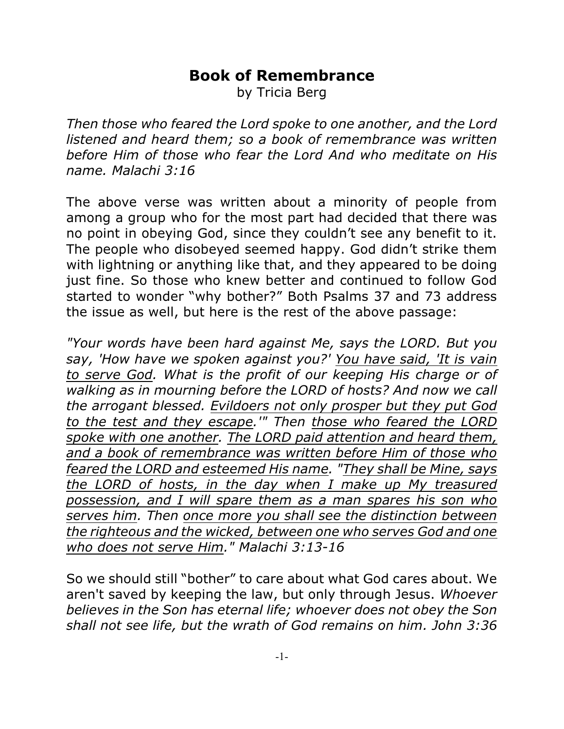## **Book of Remembrance**

by Tricia Berg

*Then those who feared the Lord spoke to one another, and the Lord listened and heard them; so a book of remembrance was written before Him of those who fear the Lord And who meditate on His name. Malachi 3:16*

The above verse was written about a minority of people from among a group who for the most part had decided that there was no point in obeying God, since they couldn't see any benefit to it. The people who disobeyed seemed happy. God didn't strike them with lightning or anything like that, and they appeared to be doing just fine. So those who knew better and continued to follow God started to wonder "why bother?" Both Psalms 37 and 73 address the issue as well, but here is the rest of the above passage:

*"Your words have been hard against Me, says the LORD. But you say, 'How have we spoken against you?' You have said, 'It is vain to serve God. What is the profit of our keeping His charge or of walking as in mourning before the LORD of hosts? And now we call the arrogant blessed. Evildoers not only prosper but they put God to the test and they escape.'" Then those who feared the LORD spoke with one another. The LORD paid attention and heard them, and a book of remembrance was written before Him of those who feared the LORD and esteemed His name. "They shall be Mine, says the LORD of hosts, in the day when I make up My treasured possession, and I will spare them as a man spares his son who serves him. Then once more you shall see the distinction between the righteous and the wicked, between one who serves God and one who does not serve Him." Malachi 3:13-16*

So we should still "bother" to care about what God cares about. We aren't saved by keeping the law, but only through Jesus. *Whoever believes in the Son has eternal life; whoever does not obey the Son shall not see life, but the wrath of God remains on him. John 3:36*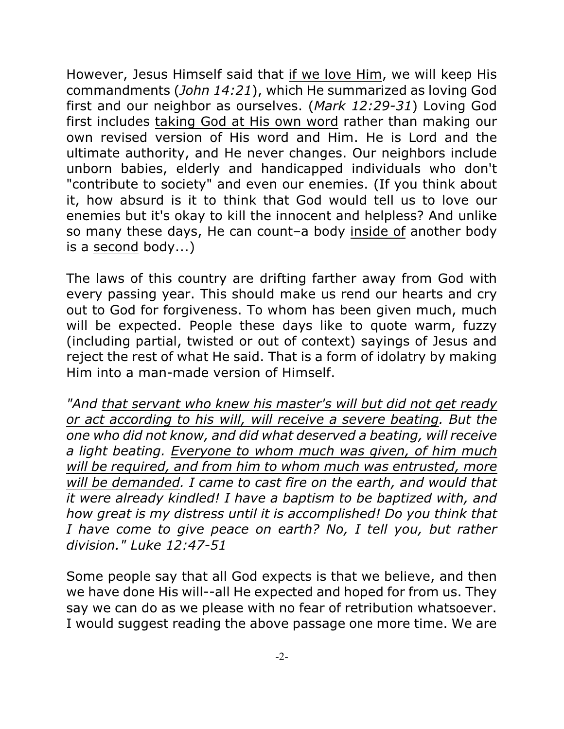However, Jesus Himself said that if we love Him, we will keep His commandments (*John 14:21*), which He summarized as loving God first and our neighbor as ourselves. (*Mark 12:29-31*) Loving God first includes taking God at His own word rather than making our own revised version of His word and Him. He is Lord and the ultimate authority, and He never changes. Our neighbors include unborn babies, elderly and handicapped individuals who don't "contribute to society" and even our enemies. (If you think about it, how absurd is it to think that God would tell us to love our enemies but it's okay to kill the innocent and helpless? And unlike so many these days, He can count–a body inside of another body is a second body...)

The laws of this country are drifting farther away from God with every passing year. This should make us rend our hearts and cry out to God for forgiveness. To whom has been given much, much will be expected. People these days like to quote warm, fuzzy (including partial, twisted or out of context) sayings of Jesus and reject the rest of what He said. That is a form of idolatry by making Him into a man-made version of Himself.

*"And that servant who knew his master's will but did not get ready or act according to his will, will receive a severe beating. But the one who did not know, and did what deserved a beating, will receive a light beating. Everyone to whom much was given, of him much will be required, and from him to whom much was entrusted, more will be demanded. I came to cast fire on the earth, and would that it were already kindled! I have a baptism to be baptized with, and how great is my distress until it is accomplished! Do you think that I have come to give peace on earth? No, I tell you, but rather division." Luke 12:47-51*

Some people say that all God expects is that we believe, and then we have done His will--all He expected and hoped for from us. They say we can do as we please with no fear of retribution whatsoever. I would suggest reading the above passage one more time. We are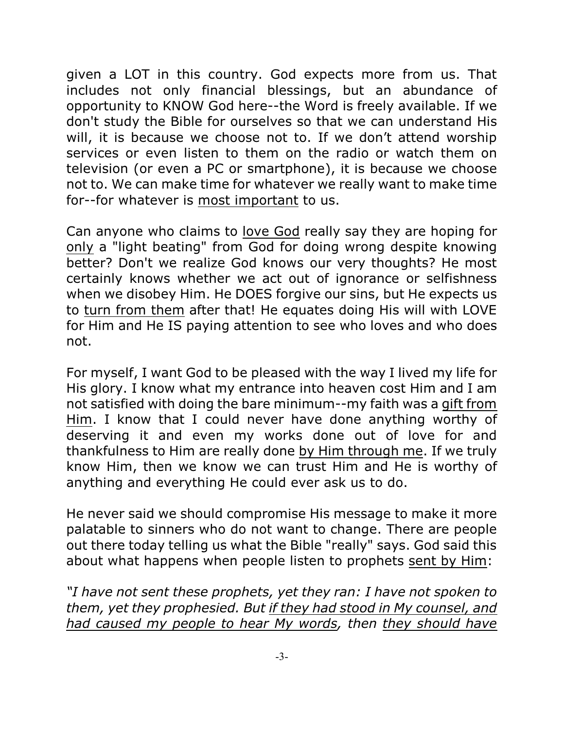given a LOT in this country. God expects more from us. That includes not only financial blessings, but an abundance of opportunity to KNOW God here--the Word is freely available. If we don't study the Bible for ourselves so that we can understand His will, it is because we choose not to. If we don't attend worship services or even listen to them on the radio or watch them on television (or even a PC or smartphone), it is because we choose not to. We can make time for whatever we really want to make time for--for whatever is most important to us.

Can anyone who claims to love God really say they are hoping for only a "light beating" from God for doing wrong despite knowing better? Don't we realize God knows our very thoughts? He most certainly knows whether we act out of ignorance or selfishness when we disobey Him. He DOES forgive our sins, but He expects us to turn from them after that! He equates doing His will with LOVE for Him and He IS paying attention to see who loves and who does not.

For myself, I want God to be pleased with the way I lived my life for His glory. I know what my entrance into heaven cost Him and I am not satisfied with doing the bare minimum--my faith was a gift from Him. I know that I could never have done anything worthy of deserving it and even my works done out of love for and thankfulness to Him are really done by Him through me. If we truly know Him, then we know we can trust Him and He is worthy of anything and everything He could ever ask us to do.

He never said we should compromise His message to make it more palatable to sinners who do not want to change. There are people out there today telling us what the Bible "really" says. God said this about what happens when people listen to prophets sent by Him:

*"I have not sent these prophets, yet they ran: I have not spoken to them, yet they prophesied. But if they had stood in My counsel, and had caused my people to hear My words, then they should have*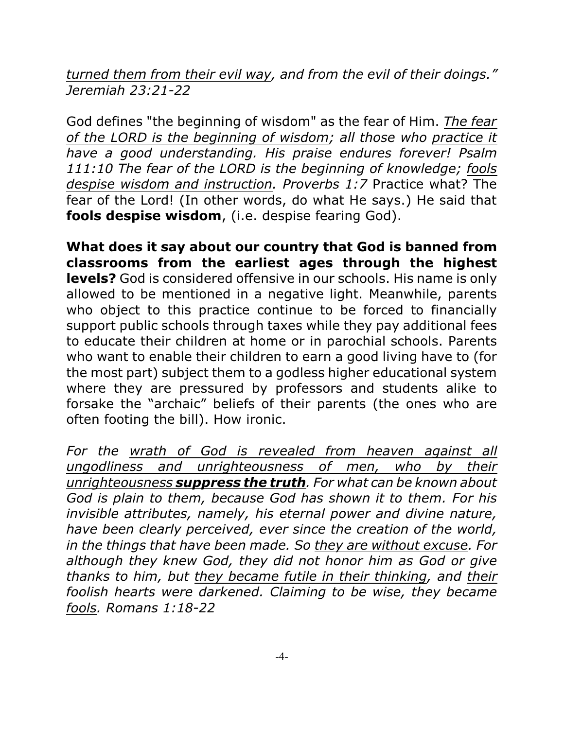*turned them from their evil way, and from the evil of their doings." Jeremiah 23:21-22*

God defines "the beginning of wisdom" as the fear of Him. *The fear of the LORD is the beginning of wisdom; all those who practice it have a good understanding. His praise endures forever! Psalm 111:10 The fear of the LORD is the beginning of knowledge; fools despise wisdom and instruction. Proverbs 1:7* Practice what? The fear of the Lord! (In other words, do what He says.) He said that **fools despise wisdom**, (i.e. despise fearing God).

**What does it say about our country that God is banned from classrooms from the earliest ages through the highest levels?** God is considered offensive in our schools. His name is only allowed to be mentioned in a negative light. Meanwhile, parents who object to this practice continue to be forced to financially support public schools through taxes while they pay additional fees to educate their children at home or in parochial schools. Parents who want to enable their children to earn a good living have to (for the most part) subject them to a godless higher educational system where they are pressured by professors and students alike to forsake the "archaic" beliefs of their parents (the ones who are often footing the bill). How ironic.

*For the wrath of God is revealed from heaven against all ungodliness and unrighteousness of men, who by their unrighteousness suppress the truth. For what can be known about God is plain to them, because God has shown it to them. For his invisible attributes, namely, his eternal power and divine nature, have been clearly perceived, ever since the creation of the world, in the things that have been made. So they are without excuse. For although they knew God, they did not honor him as God or give thanks to him, but they became futile in their thinking, and their foolish hearts were darkened. Claiming to be wise, they became fools. Romans 1:18-22*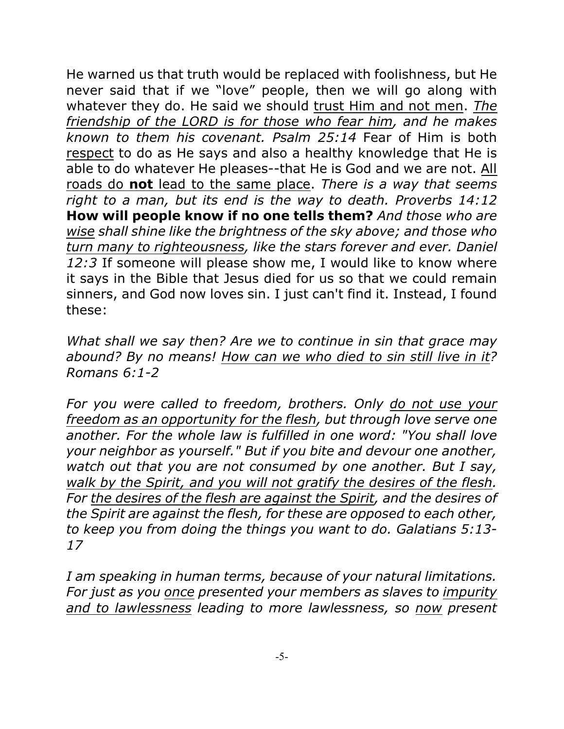He warned us that truth would be replaced with foolishness, but He never said that if we "love" people, then we will go along with whatever they do. He said we should trust Him and not men. *The friendship of the LORD is for those who fear him, and he makes known to them his covenant. Psalm 25:14* Fear of Him is both respect to do as He says and also a healthy knowledge that He is able to do whatever He pleases--that He is God and we are not. All roads do **not** lead to the same place. *There is a way that seems right to a man, but its end is the way to death. Proverbs 14:12* **How will people know if no one tells them?** *And those who are wise shall shine like the brightness of the sky above; and those who turn many to righteousness, like the stars forever and ever. Daniel 12:3* If someone will please show me, I would like to know where it says in the Bible that Jesus died for us so that we could remain sinners, and God now loves sin. I just can't find it. Instead, I found these:

*What shall we say then? Are we to continue in sin that grace may abound? By no means! How can we who died to sin still live in it? Romans 6:1-2*

*For you were called to freedom, brothers. Only do not use your freedom as an opportunity for the flesh, but through love serve one another. For the whole law is fulfilled in one word: "You shall love your neighbor as yourself." But if you bite and devour one another, watch out that you are not consumed by one another. But I say, walk by the Spirit, and you will not gratify the desires of the flesh. For the desires of the flesh are against the Spirit, and the desires of the Spirit are against the flesh, for these are opposed to each other, to keep you from doing the things you want to do. Galatians 5:13- 17*

*I am speaking in human terms, because of your natural limitations. For just as you once presented your members as slaves to impurity and to lawlessness leading to more lawlessness, so now present*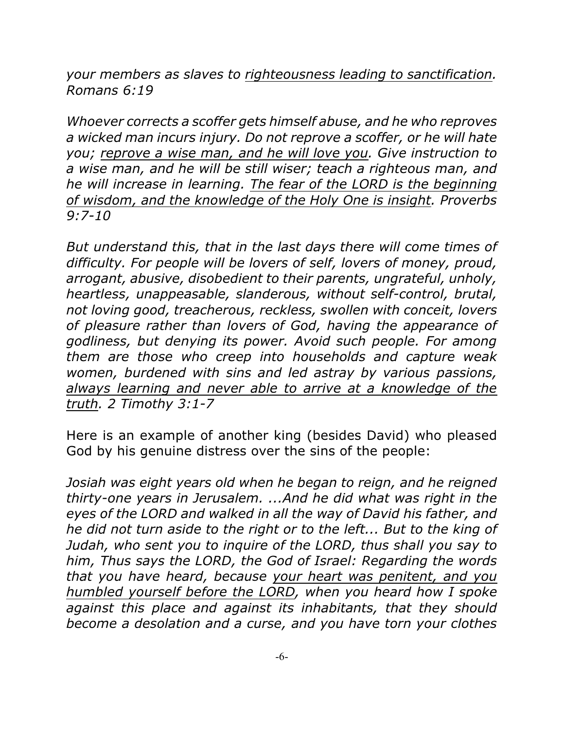*your members as slaves to righteousness leading to sanctification. Romans 6:19*

*Whoever corrects a scoffer gets himself abuse, and he who reproves a wicked man incurs injury. Do not reprove a scoffer, or he will hate you; reprove a wise man, and he will love you. Give instruction to a wise man, and he will be still wiser; teach a righteous man, and he will increase in learning. The fear of the LORD is the beginning of wisdom, and the knowledge of the Holy One is insight. Proverbs 9:7-10*

*But understand this, that in the last days there will come times of difficulty. For people will be lovers of self, lovers of money, proud, arrogant, abusive, disobedient to their parents, ungrateful, unholy, heartless, unappeasable, slanderous, without self-control, brutal, not loving good, treacherous, reckless, swollen with conceit, lovers of pleasure rather than lovers of God, having the appearance of godliness, but denying its power. Avoid such people. For among them are those who creep into households and capture weak women, burdened with sins and led astray by various passions, always learning and never able to arrive at a knowledge of the truth. 2 Timothy 3:1-7*

Here is an example of another king (besides David) who pleased God by his genuine distress over the sins of the people:

*Josiah was eight years old when he began to reign, and he reigned thirty-one years in Jerusalem. ...And he did what was right in the eyes of the LORD and walked in all the way of David his father, and he did not turn aside to the right or to the left... But to the king of Judah, who sent you to inquire of the LORD, thus shall you say to him, Thus says the LORD, the God of Israel: Regarding the words that you have heard, because your heart was penitent, and you humbled yourself before the LORD, when you heard how I spoke against this place and against its inhabitants, that they should become a desolation and a curse, and you have torn your clothes*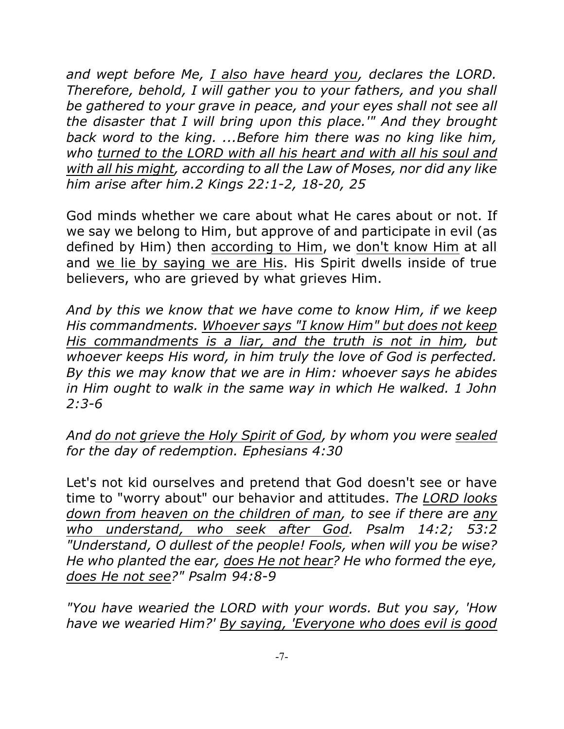*and wept before Me, I also have heard you, declares the LORD. Therefore, behold, I will gather you to your fathers, and you shall be gathered to your grave in peace, and your eyes shall not see all the disaster that I will bring upon this place.'" And they brought back word to the king. ...Before him there was no king like him, who turned to the LORD with all his heart and with all his soul and with all his might, according to all the Law of Moses, nor did any like him arise after him.2 Kings 22:1-2, 18-20, 25*

God minds whether we care about what He cares about or not. If we say we belong to Him, but approve of and participate in evil (as defined by Him) then according to Him, we don't know Him at all and we lie by saying we are His. His Spirit dwells inside of true believers, who are grieved by what grieves Him.

*And by this we know that we have come to know Him, if we keep His commandments. Whoever says "I know Him" but does not keep His commandments is a liar, and the truth is not in him, but whoever keeps His word, in him truly the love of God is perfected. By this we may know that we are in Him: whoever says he abides in Him ought to walk in the same way in which He walked. 1 John 2:3-6*

*And do not grieve the Holy Spirit of God, by whom you were sealed for the day of redemption. Ephesians 4:30*

Let's not kid ourselves and pretend that God doesn't see or have time to "worry about" our behavior and attitudes. *The LORD looks down from heaven on the children of man, to see if there are any who understand, who seek after God. Psalm 14:2; 53:2 "Understand, O dullest of the people! Fools, when will you be wise? He who planted the ear, does He not hear? He who formed the eye, does He not see?" Psalm 94:8-9*

*"You have wearied the LORD with your words. But you say, 'How have we wearied Him?' By saying, 'Everyone who does evil is good*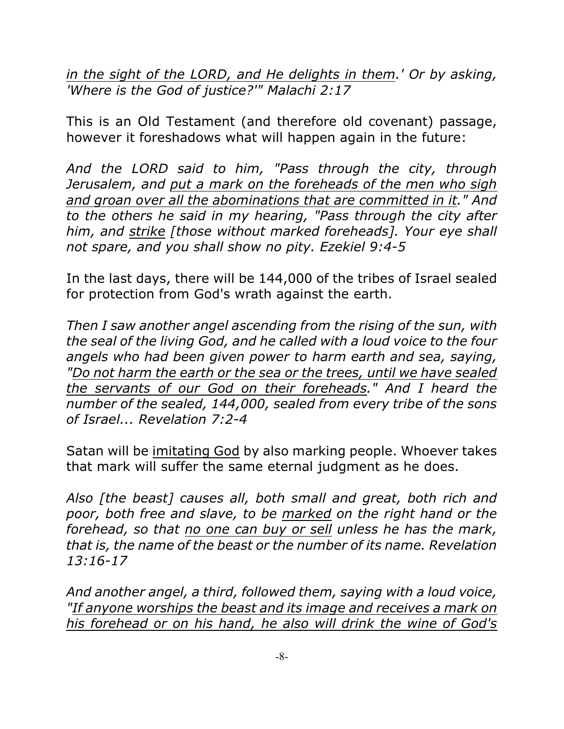*in the sight of the LORD, and He delights in them.' Or by asking, 'Where is the God of justice?'" Malachi 2:17*

This is an Old Testament (and therefore old covenant) passage, however it foreshadows what will happen again in the future:

*And the LORD said to him, "Pass through the city, through Jerusalem, and put a mark on the foreheads of the men who sigh and groan over all the abominations that are committed in it." And to the others he said in my hearing, "Pass through the city after him, and strike [those without marked foreheads]. Your eye shall not spare, and you shall show no pity. Ezekiel 9:4-5*

In the last days, there will be 144,000 of the tribes of Israel sealed for protection from God's wrath against the earth.

*Then I saw another angel ascending from the rising of the sun, with the seal of the living God, and he called with a loud voice to the four angels who had been given power to harm earth and sea, saying, "Do not harm the earth or the sea or the trees, until we have sealed the servants of our God on their foreheads." And I heard the number of the sealed, 144,000, sealed from every tribe of the sons of Israel... Revelation 7:2-4*

Satan will be imitating God by also marking people. Whoever takes that mark will suffer the same eternal judgment as he does.

*Also [the beast] causes all, both small and great, both rich and poor, both free and slave, to be marked on the right hand or the forehead, so that no one can buy or sell unless he has the mark, that is, the name of the beast or the number of its name. Revelation 13:16-17*

*And another angel, a third, followed them, saying with a loud voice, "If anyone worships the beast and its image and receives a mark on his forehead or on his hand, he also will drink the wine of God's*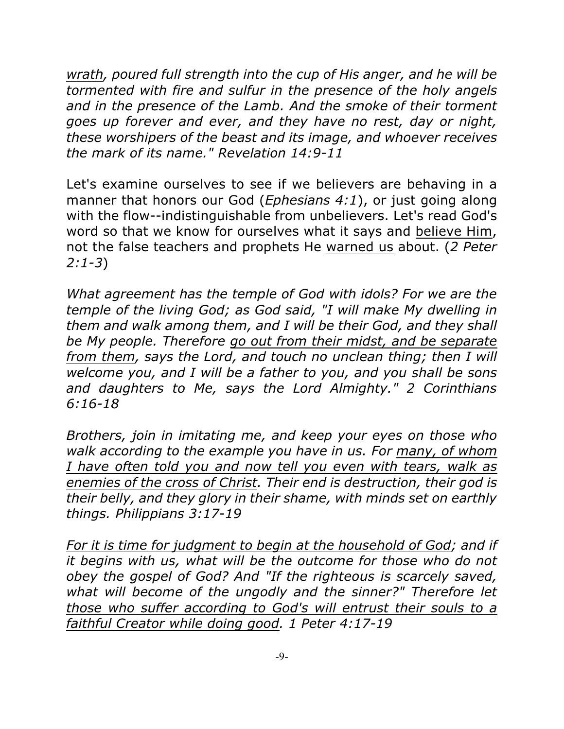*wrath, poured full strength into the cup of His anger, and he will be tormented with fire and sulfur in the presence of the holy angels and in the presence of the Lamb. And the smoke of their torment goes up forever and ever, and they have no rest, day or night, these worshipers of the beast and its image, and whoever receives the mark of its name." Revelation 14:9-11*

Let's examine ourselves to see if we believers are behaving in a manner that honors our God (*Ephesians 4:1*), or just going along with the flow--indistinguishable from unbelievers. Let's read God's word so that we know for ourselves what it says and believe Him, not the false teachers and prophets He warned us about. (*2 Peter 2:1-3*)

*What agreement has the temple of God with idols? For we are the temple of the living God; as God said, "I will make My dwelling in them and walk among them, and I will be their God, and they shall be My people. Therefore go out from their midst, and be separate from them, says the Lord, and touch no unclean thing; then I will welcome you, and I will be a father to you, and you shall be sons and daughters to Me, says the Lord Almighty." 2 Corinthians 6:16-18*

*Brothers, join in imitating me, and keep your eyes on those who walk according to the example you have in us. For many, of whom I have often told you and now tell you even with tears, walk as enemies of the cross of Christ. Their end is destruction, their god is their belly, and they glory in their shame, with minds set on earthly things. Philippians 3:17-19*

*For it is time for judgment to begin at the household of God; and if it begins with us, what will be the outcome for those who do not obey the gospel of God? And "If the righteous is scarcely saved, what will become of the ungodly and the sinner?" Therefore let those who suffer according to God's will entrust their souls to a faithful Creator while doing good. 1 Peter 4:17-19*